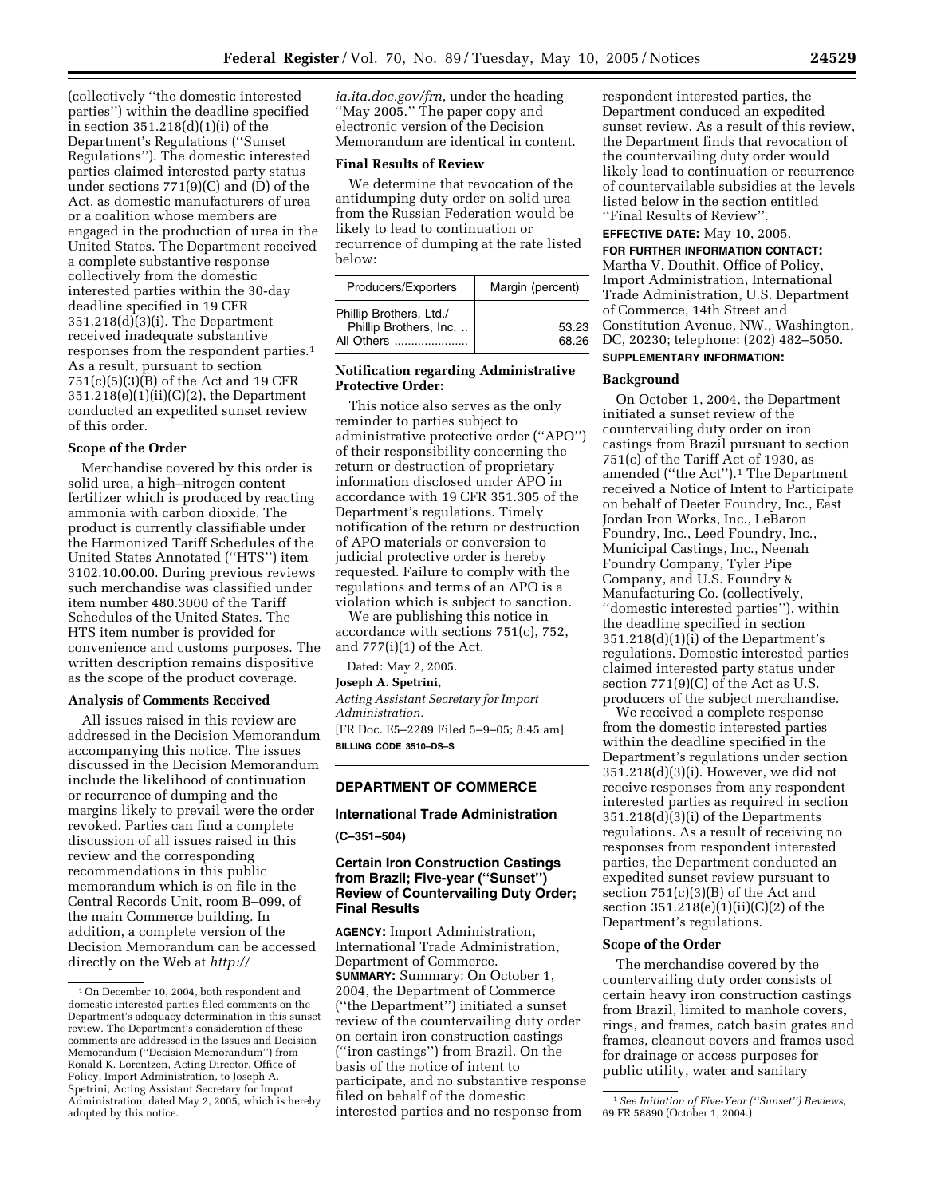(collectively ''the domestic interested parties'') within the deadline specified in section 351.218(d)(1)(i) of the Department's Regulations (''Sunset Regulations''). The domestic interested parties claimed interested party status under sections 771(9)(C) and (D) of the Act, as domestic manufacturers of urea or a coalition whose members are engaged in the production of urea in the United States. The Department received a complete substantive response collectively from the domestic interested parties within the 30-day deadline specified in 19 CFR 351.218(d)(3)(i). The Department received inadequate substantive responses from the respondent parties.1 As a result, pursuant to section 751(c)(5)(3)(B) of the Act and 19 CFR 351.218(e)(1)(ii)(C)(2), the Department conducted an expedited sunset review of this order.

## **Scope of the Order**

Merchandise covered by this order is solid urea, a high–nitrogen content fertilizer which is produced by reacting ammonia with carbon dioxide. The product is currently classifiable under the Harmonized Tariff Schedules of the United States Annotated (''HTS'') item 3102.10.00.00. During previous reviews such merchandise was classified under item number 480.3000 of the Tariff Schedules of the United States. The HTS item number is provided for convenience and customs purposes. The written description remains dispositive as the scope of the product coverage.

#### **Analysis of Comments Received**

All issues raised in this review are addressed in the Decision Memorandum accompanying this notice. The issues discussed in the Decision Memorandum include the likelihood of continuation or recurrence of dumping and the margins likely to prevail were the order revoked. Parties can find a complete discussion of all issues raised in this review and the corresponding recommendations in this public memorandum which is on file in the Central Records Unit, room B–099, of the main Commerce building. In addition, a complete version of the Decision Memorandum can be accessed directly on the Web at *http://*

*ia.ita.doc.gov/frn*, under the heading ''May 2005.'' The paper copy and electronic version of the Decision Memorandum are identical in content.

## **Final Results of Review**

We determine that revocation of the antidumping duty order on solid urea from the Russian Federation would be likely to lead to continuation or recurrence of dumping at the rate listed below:

| Producers/Exporters                                             | Margin (percent) |
|-----------------------------------------------------------------|------------------|
| Phillip Brothers, Ltd./<br>Phillip Brothers, Inc.<br>All Others | 53.23<br>68.26   |

# **Notification regarding Administrative Protective Order:**

This notice also serves as the only reminder to parties subject to administrative protective order (''APO'') of their responsibility concerning the return or destruction of proprietary information disclosed under APO in accordance with 19 CFR 351.305 of the Department's regulations. Timely notification of the return or destruction of APO materials or conversion to judicial protective order is hereby requested. Failure to comply with the regulations and terms of an APO is a violation which is subject to sanction.

We are publishing this notice in accordance with sections 751(c), 752, and 777(i)(1) of the Act.

Dated: May 2, 2005.

**Joseph A. Spetrini,**

*Acting Assistant Secretary for Import Administration.*

[FR Doc. E5–2289 Filed 5–9–05; 8:45 am] **BILLING CODE 3510–DS–S**

# **DEPARTMENT OF COMMERCE**

## **International Trade Administration**

**(C–351–504)**

# **Certain Iron Construction Castings from Brazil; Five-year (''Sunset'') Review of Countervailing Duty Order; Final Results**

**AGENCY:** Import Administration, International Trade Administration, Department of Commerce. **SUMMARY:** Summary: On October 1, 2004, the Department of Commerce (''the Department'') initiated a sunset review of the countervailing duty order on certain iron construction castings (''iron castings'') from Brazil. On the basis of the notice of intent to participate, and no substantive response filed on behalf of the domestic interested parties and no response from

respondent interested parties, the Department conduced an expedited sunset review. As a result of this review, the Department finds that revocation of the countervailing duty order would likely lead to continuation or recurrence of countervailable subsidies at the levels listed below in the section entitled ''Final Results of Review''.

#### **EFFECTIVE DATE:** May 10, 2005.

**FOR FURTHER INFORMATION CONTACT:** Martha V. Douthit, Office of Policy, Import Administration, International Trade Administration, U.S. Department of Commerce, 14th Street and Constitution Avenue, NW., Washington, DC, 20230; telephone: (202) 482–5050. **SUPPLEMENTARY INFORMATION:**

#### **Background**

On October 1, 2004, the Department initiated a sunset review of the countervailing duty order on iron castings from Brazil pursuant to section  $751(c)$  of the Tariff Act of 1930, as amended ("the Act").<sup>1</sup> The Department received a Notice of Intent to Participate on behalf of Deeter Foundry, Inc., East Jordan Iron Works, Inc., LeBaron Foundry, Inc., Leed Foundry, Inc., Municipal Castings, Inc., Neenah Foundry Company, Tyler Pipe Company, and U.S. Foundry & Manufacturing Co. (collectively, ''domestic interested parties''), within the deadline specified in section  $351.218(d)(1)(i)$  of the Department's regulations. Domestic interested parties claimed interested party status under section 771(9)(C) of the Act as U.S. producers of the subject merchandise.

We received a complete response from the domestic interested parties within the deadline specified in the Department's regulations under section 351.218(d)(3)(i). However, we did not receive responses from any respondent interested parties as required in section 351.218(d)(3)(i) of the Departments regulations. As a result of receiving no responses from respondent interested parties, the Department conducted an expedited sunset review pursuant to section 751(c)(3)(B) of the Act and section 351.218(e)(1)(ii)(C)(2) of the Department's regulations.

## **Scope of the Order**

The merchandise covered by the countervailing duty order consists of certain heavy iron construction castings from Brazil, limited to manhole covers, rings, and frames, catch basin grates and frames, cleanout covers and frames used for drainage or access purposes for public utility, water and sanitary

<sup>1</sup>On December 10, 2004, both respondent and domestic interested parties filed comments on the Department's adequacy determination in this sunset review. The Department's consideration of these comments are addressed in the Issues and Decision Memorandum (''Decision Memorandum'') from Ronald K. Lorentzen, Acting Director, Office of Policy, Import Administration, to Joseph A. Spetrini, Acting Assistant Secretary for Import Administration, dated May 2, 2005, which is hereby adopted by this notice.

<sup>1</sup>*See Initiation of Five-Year (''Sunset'') Reviews*, 69 FR 58890 (October 1, 2004.)